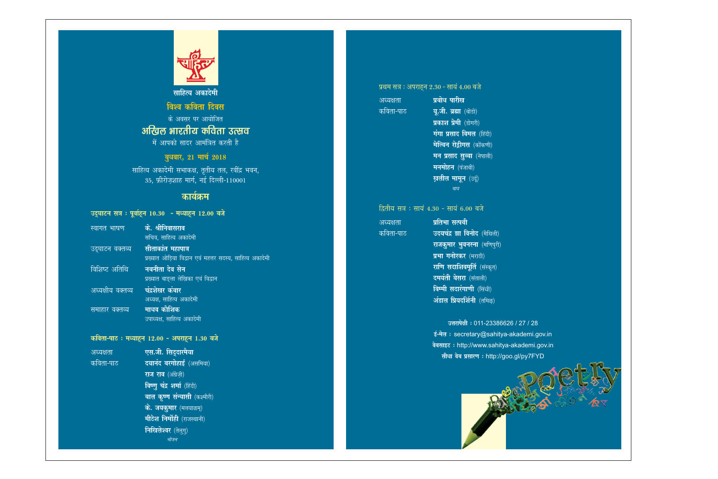

साहित्य अकादेमी

## विश्व कविता दिवस के अवसर पर आयोजित अखिल भारतीय कविता उत्सव में आपको सादर आमंत्रित करती है

बुधवार, 21 मार्च 2018

साहित्य अकादेमी सभाकक्ष, तृतीय तल, रवींद्र भवन, 35, फ़ीरोज़शाह मार्ग, नई दिल्ली-110001

## कार्यक्रम

अकादेमी

|                       | उद्र्घाटन सत्र : पूर्वाहून 10.30  - मध्याहून 12.00 बजे |
|-----------------------|--------------------------------------------------------|
| स्वांगत भाषण          | के. श्रीनिवासराव                                       |
|                       | सचिव, साहित्य अकादेमी                                  |
| उद्घाटन वक्तव्य       | सीताकांत महापात्र                                      |
|                       | प्रख्यात ओड़िया विद्वान एवं महत्तर सदस्य, साहित्य      |
| विशिष्ट अतिथि         | नबनीता देव सेन                                         |
|                       | प्रख्यात बाङ्ला लेखिका एवं विद्वान                     |
| अध्यक्षीय वक्तव्य     | चंद्रशेखर कंबार                                        |
|                       | <u>अध्यक्ष, साहित्य अकादेमी</u>                        |
| <u>समाहार वक्तव्य</u> | माधव कोशि <u>क</u>                                     |
|                       | उपाध्यक्ष, साहित्य अकादेमी                             |
|                       |                                                        |
|                       | कविता-पाठ: मध्याहून 12.00 - अपराहून 1.30 बजे           |
| अध्यक्षता             | एस.जी. सिदुदारमैया                                     |
| <u>कविता-पाठ</u>      | दयानंद बरगोहाई (असमिया)                                |
|                       | राज राव (अंग्रेज़ी)                                    |
|                       | विष्णु चंद्र शर्मा (हिंदी)                             |
|                       | बाल कृष्ण संन्यासी (कश्मीरी)                           |
|                       | $\overrightarrow{x}$ $\overrightarrow{z}$              |

**जयकुमार** (मल **मीठेश निर्मोही** (राजस्थानी) निखिलेश्वर (तेलुगु)

भोजन

#### प्रथम सत्र : अपराहन 2.30 - सायं 4.00 बजे प्रबोध पारीख अध्यक्षता

कविता-पाठ

अध्यक्षता कविता-पाठ

यू.जी. ब्रह्मा (बोडो) प्रकाश प्रेमी (डोगरी) गंगा प्रसाद विमल (हिंदी) मेल्विन रोडीगस (कोंकणी) मन प्रसाद सुब्बा (नेपाली) मनमोहन (पंजाबी) ख़लील मामून (उर्दू) चाय

### द्वितीय सत्र : सायं 4.30 - सायं 6.00 बजे

प्रतिभा सत्पथी उदयचंद्र झा विनोद (मैथिली) राजकुमार भुवनस्ना (मणिपुरी) प्रभा गनोरकर (मराठी) राणि सदाशिवमूर्ति (संस्कृत) दमयंती बेसरा (संताली) विम्मी सदारंगाणी (सिंधी) अंडाल प्रियदर्शिनी (तमिळ्)

> उत्तरापेक्षी : 011-23386626 / 27 / 28 ई-मेल : secretary@sahitya-akademi.gov.in वेबसाइट : http://www.sahitya-akademi.gov.in सीधा वेब प्रसारण: http://goo.gl/py7FYD